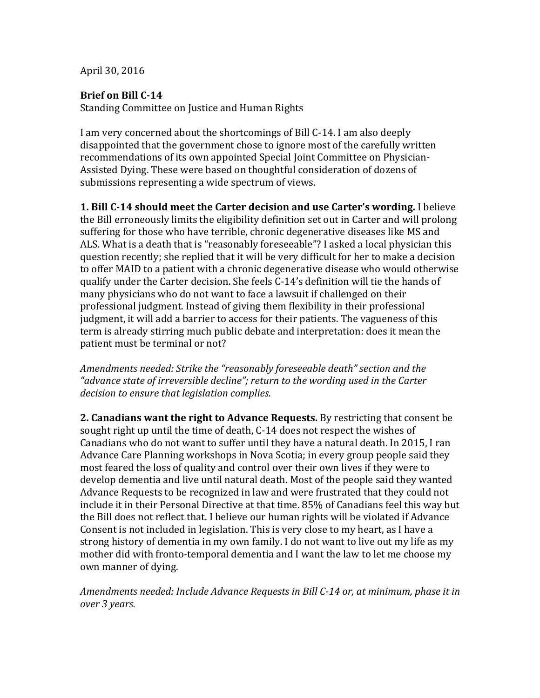April 30, 2016

## **Brief on Bill C-14**

Standing Committee on Justice and Human Rights

I am very concerned about the shortcomings of Bill C-14. I am also deeply disappointed that the government chose to ignore most of the carefully written recommendations of its own appointed Special Joint Committee on Physician-Assisted Dying. These were based on thoughtful consideration of dozens of submissions representing a wide spectrum of views.

**1.** Bill C-14 should meet the Carter decision and use Carter's wording. I believe the Bill erroneously limits the eligibility definition set out in Carter and will prolong suffering for those who have terrible, chronic degenerative diseases like MS and ALS. What is a death that is "reasonably foreseeable"? I asked a local physician this question recently; she replied that it will be very difficult for her to make a decision to offer MAID to a patient with a chronic degenerative disease who would otherwise qualify under the Carter decision. She feels C-14's definition will tie the hands of many physicians who do not want to face a lawsuit if challenged on their professional iudgment. Instead of giving them flexibility in their professional judgment, it will add a barrier to access for their patients. The vagueness of this term is already stirring much public debate and interpretation: does it mean the patient must be terminal or not?

Amendments needed: Strike the "reasonably foreseeable death" section and the "advance state of irreversible decline"; return to the wording used in the Carter decision to ensure that legislation complies.

**2. Canadians want the right to Advance Requests.** By restricting that consent be sought right up until the time of death, C-14 does not respect the wishes of Canadians who do not want to suffer until they have a natural death. In 2015, I ran Advance Care Planning workshops in Nova Scotia; in every group people said they most feared the loss of quality and control over their own lives if they were to develop dementia and live until natural death. Most of the people said they wanted Advance Requests to be recognized in law and were frustrated that they could not include it in their Personal Directive at that time. 85% of Canadians feel this way but the Bill does not reflect that. I believe our human rights will be violated if Advance Consent is not included in legislation. This is very close to my heart, as I have a strong history of dementia in my own family. I do not want to live out my life as my mother did with fronto-temporal dementia and I want the law to let me choose my own manner of dying.

Amendments needed: Include Advance Requests in Bill C-14 or, at minimum, phase it in *over 3 years.*